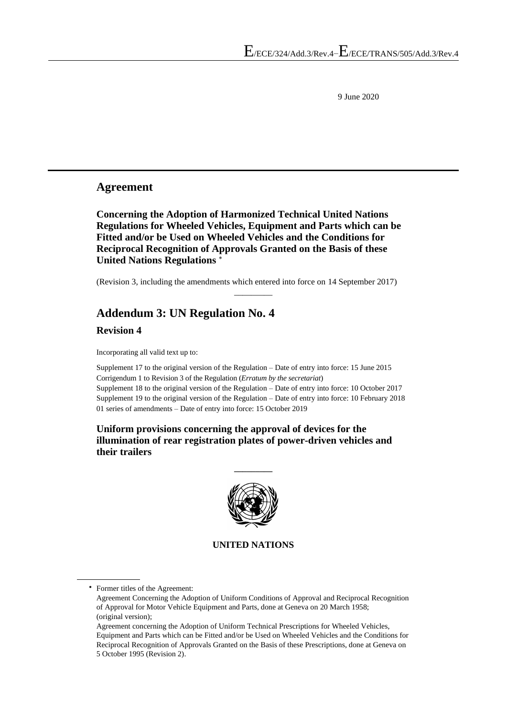9 June 2020

### **Agreement**

**Concerning the Adoption of Harmonized Technical United Nations Regulations for Wheeled Vehicles, Equipment and Parts which can be Fitted and/or be Used on Wheeled Vehicles and the Conditions for Reciprocal Recognition of Approvals Granted on the Basis of these United Nations Regulations** 

(Revision 3, including the amendments which entered into force on 14 September 2017)

 $\overline{\phantom{a}}$ 

# **Addendum 3: UN Regulation No. 4 Revision 4**

Incorporating all valid text up to:

Supplement 17 to the original version of the Regulation – Date of entry into force: 15 June 2015 Corrigendum 1 to Revision 3 of the Regulation (*Erratum by the secretariat*) Supplement 18 to the original version of the Regulation – Date of entry into force: 10 October 2017 Supplement 19 to the original version of the Regulation – Date of entry into force: 10 February 2018 01 series of amendments – Date of entry into force: 15 October 2019

**Uniform provisions concerning the approval of devices for the illumination of rear registration plates of power-driven vehicles and their trailers**



**\_\_\_\_\_\_\_\_\_**

#### **UNITED NATIONS**

Former titles of the Agreement:

Agreement Concerning the Adoption of Uniform Conditions of Approval and Reciprocal Recognition of Approval for Motor Vehicle Equipment and Parts, done at Geneva on 20 March 1958; (original version);

Agreement concerning the Adoption of Uniform Technical Prescriptions for Wheeled Vehicles, Equipment and Parts which can be Fitted and/or be Used on Wheeled Vehicles and the Conditions for Reciprocal Recognition of Approvals Granted on the Basis of these Prescriptions, done at Geneva on 5 October 1995 (Revision 2).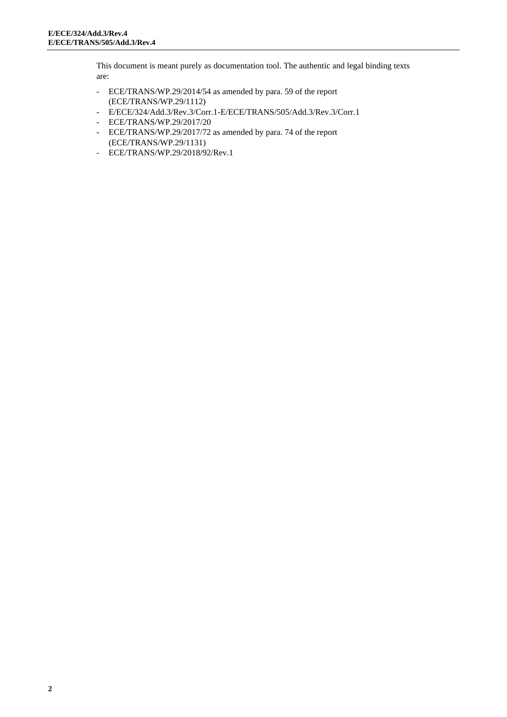This document is meant purely as documentation tool. The authentic and legal binding texts are:

- ECE/TRANS/WP.29/2014/54 as amended by para. 59 of the report (ECE/TRANS/WP.29/1112)
- E/ECE/324/Add.3/Rev.3/Corr.1-E/ECE/TRANS/505/Add.3/Rev.3/Corr.1
- ECE/TRANS/WP.29/2017/20
- ECE/TRANS/WP.29/2017/72 as amended by para. 74 of the report (ECE/TRANS/WP.29/1131)
- ECE/TRANS/WP.29/2018/92/Rev.1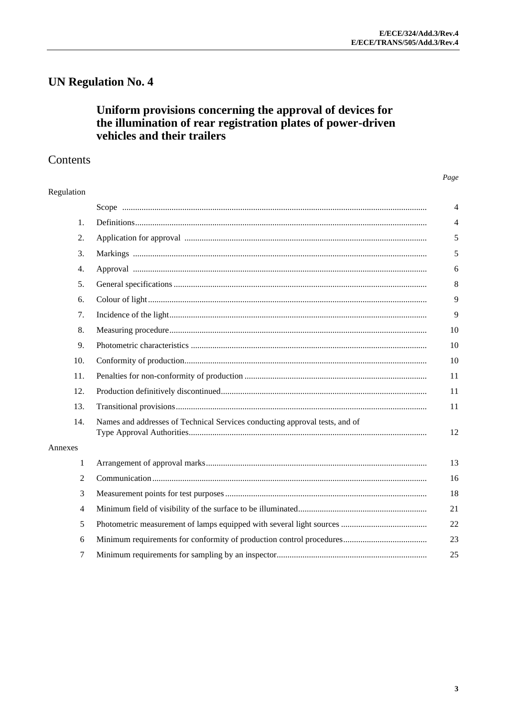# **UN Regulation No. 4**

# Uniform provisions concerning the approval of devices for the illumination of rear registration plates of power-driven vehicles and their trailers

## Contents

#### Page

| Regulation |                                                                             |                |
|------------|-----------------------------------------------------------------------------|----------------|
|            |                                                                             | 4              |
| 1.         |                                                                             |                |
| 2.         |                                                                             |                |
| 3.         |                                                                             |                |
| 4.         |                                                                             | 6              |
| 5.         |                                                                             | δ              |
| 6.         |                                                                             | ç              |
| 7.         |                                                                             | ς              |
| 8.         |                                                                             | 1 <sup>1</sup> |
| 9.         |                                                                             | 1 <sup>0</sup> |
| 10.        |                                                                             | 10             |
| 11.        |                                                                             | 11             |
| 12.        |                                                                             | 11             |
| 13.        |                                                                             | 11             |
| 14.        | Names and addresses of Technical Services conducting approval tests, and of | 12             |
| Annexes    |                                                                             |                |
| 1          |                                                                             | 13             |
| 2          |                                                                             | 16             |
| 3          |                                                                             | 18             |
| 4          |                                                                             | 21             |
| 5          |                                                                             | 22             |
| 6          |                                                                             | 2 <sup>3</sup> |
| 7          |                                                                             | 25             |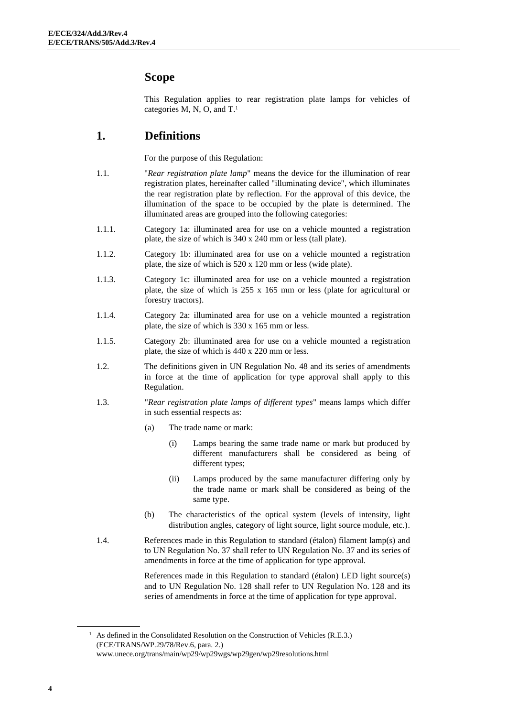## <span id="page-3-0"></span>**Scope**

This Regulation applies to rear registration plate lamps for vehicles of categories M, N, O, and T. 1

## <span id="page-3-1"></span>**1. Definitions**

For the purpose of this Regulation:

- 1.1. "*Rear registration plate lamp*" means the device for the illumination of rear registration plates, hereinafter called "illuminating device", which illuminates the rear registration plate by reflection. For the approval of this device, the illumination of the space to be occupied by the plate is determined. The illuminated areas are grouped into the following categories:
- 1.1.1. Category 1a: illuminated area for use on a vehicle mounted a registration plate, the size of which is 340 x 240 mm or less (tall plate).
- 1.1.2. Category 1b: illuminated area for use on a vehicle mounted a registration plate, the size of which is 520 x 120 mm or less (wide plate).
- 1.1.3. Category 1c: illuminated area for use on a vehicle mounted a registration plate, the size of which is 255 x 165 mm or less (plate for agricultural or forestry tractors).
- 1.1.4. Category 2a: illuminated area for use on a vehicle mounted a registration plate, the size of which is 330 x 165 mm or less.
- 1.1.5. Category 2b: illuminated area for use on a vehicle mounted a registration plate, the size of which is 440 x 220 mm or less.
- 1.2. The definitions given in UN Regulation No. 48 and its series of amendments in force at the time of application for type approval shall apply to this Regulation.
- 1.3. "*Rear registration plate lamps of different types*" means lamps which differ in such essential respects as:
	- (a) The trade name or mark:
		- (i) Lamps bearing the same trade name or mark but produced by different manufacturers shall be considered as being of different types;
		- (ii) Lamps produced by the same manufacturer differing only by the trade name or mark shall be considered as being of the same type.
	- (b) The characteristics of the optical system (levels of intensity, light distribution angles, category of light source, light source module, etc.).
- 1.4. References made in this Regulation to standard (étalon) filament lamp(s) and to UN Regulation No. 37 shall refer to UN Regulation No. 37 and its series of amendments in force at the time of application for type approval.

References made in this Regulation to standard (étalon) LED light source(s) and to UN Regulation No. 128 shall refer to UN Regulation No. 128 and its series of amendments in force at the time of application for type approval.

<sup>&</sup>lt;sup>1</sup> As defined in the Consolidated Resolution on the Construction of Vehicles (R.E.3.) (ECE/TRANS/WP.29/78/Rev.6, para. 2.) [www.unece.org/trans/main/wp29/wp29wgs/wp29gen/wp29resolutions.html](http://www.unece.org/trans/main/wp29/wp29wgs/wp29gen/wp29resolutions.html)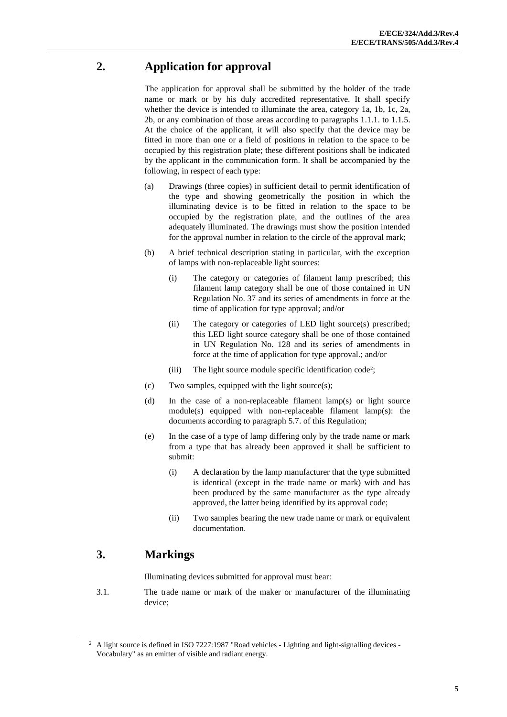# <span id="page-4-0"></span>**2. Application for approval**

The application for approval shall be submitted by the holder of the trade name or mark or by his duly accredited representative. It shall specify whether the device is intended to illuminate the area, category 1a, 1b, 1c, 2a, 2b, or any combination of those areas according to paragraphs 1.1.1. to 1.1.5. At the choice of the applicant, it will also specify that the device may be fitted in more than one or a field of positions in relation to the space to be occupied by this registration plate; these different positions shall be indicated by the applicant in the communication form. It shall be accompanied by the following, in respect of each type:

- (a) Drawings (three copies) in sufficient detail to permit identification of the type and showing geometrically the position in which the illuminating device is to be fitted in relation to the space to be occupied by the registration plate, and the outlines of the area adequately illuminated. The drawings must show the position intended for the approval number in relation to the circle of the approval mark;
- (b) A brief technical description stating in particular, with the exception of lamps with non-replaceable light sources:
	- (i) The category or categories of filament lamp prescribed; this filament lamp category shall be one of those contained in UN Regulation No. 37 and its series of amendments in force at the time of application for type approval; and/or
	- (ii) The category or categories of LED light source(s) prescribed; this LED light source category shall be one of those contained in UN Regulation No. 128 and its series of amendments in force at the time of application for type approval.; and/or
	- (iii) The light source module specific identification code<sup>2</sup>;
- (c) Two samples, equipped with the light source(s);
- (d) In the case of a non-replaceable filament lamp(s) or light source module(s) equipped with non-replaceable filament lamp(s): the documents according to paragraph 5.7. of this Regulation;
- (e) In the case of a type of lamp differing only by the trade name or mark from a type that has already been approved it shall be sufficient to submit:
	- (i) A declaration by the lamp manufacturer that the type submitted is identical (except in the trade name or mark) with and has been produced by the same manufacturer as the type already approved, the latter being identified by its approval code;
	- (ii) Two samples bearing the new trade name or mark or equivalent documentation.

# <span id="page-4-1"></span>**3. Markings**

Illuminating devices submitted for approval must bear:

3.1. The trade name or mark of the maker or manufacturer of the illuminating device;

<sup>&</sup>lt;sup>2</sup> A light source is defined in ISO 7227:1987 "Road vehicles - Lighting and light-signalling devices -Vocabulary" as an emitter of visible and radiant energy.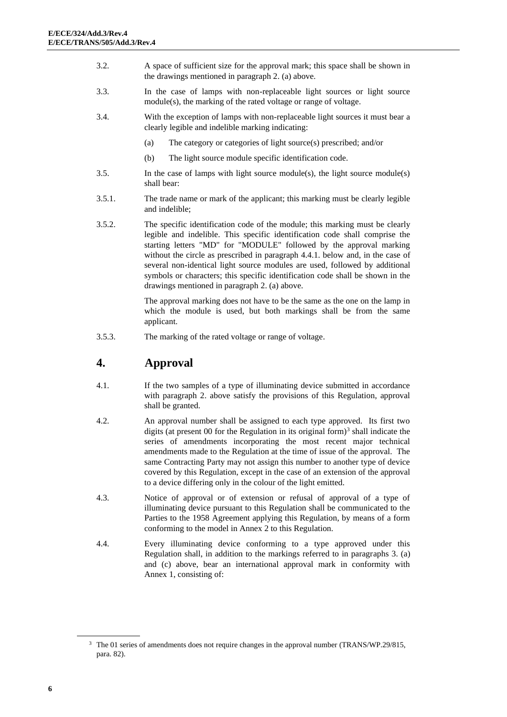- 3.2. A space of sufficient size for the approval mark; this space shall be shown in the drawings mentioned in paragraph 2. (a) above.
- 3.3. In the case of lamps with non-replaceable light sources or light source module(s), the marking of the rated voltage or range of voltage.
- 3.4. With the exception of lamps with non-replaceable light sources it must bear a clearly legible and indelible marking indicating:
	- (a) The category or categories of light source(s) prescribed; and/or
	- (b) The light source module specific identification code.
- 3.5. In the case of lamps with light source module(s), the light source module(s) shall bear:
- 3.5.1. The trade name or mark of the applicant; this marking must be clearly legible and indelible;
- 3.5.2. The specific identification code of the module; this marking must be clearly legible and indelible. This specific identification code shall comprise the starting letters "MD" for "MODULE" followed by the approval marking without the circle as prescribed in paragraph 4.4.1. below and, in the case of several non-identical light source modules are used, followed by additional symbols or characters; this specific identification code shall be shown in the drawings mentioned in paragraph 2. (a) above.

The approval marking does not have to be the same as the one on the lamp in which the module is used, but both markings shall be from the same applicant.

3.5.3. The marking of the rated voltage or range of voltage.

## <span id="page-5-0"></span>**4. Approval**

- 4.1. If the two samples of a type of illuminating device submitted in accordance with paragraph 2. above satisfy the provisions of this Regulation, approval shall be granted.
- 4.2. An approval number shall be assigned to each type approved. Its first two digits (at present  $00$  for the Regulation in its original form)<sup>3</sup> shall indicate the series of amendments incorporating the most recent major technical amendments made to the Regulation at the time of issue of the approval. The same Contracting Party may not assign this number to another type of device covered by this Regulation, except in the case of an extension of the approval to a device differing only in the colour of the light emitted.
- 4.3. Notice of approval or of extension or refusal of approval of a type of illuminating device pursuant to this Regulation shall be communicated to the Parties to the 1958 Agreement applying this Regulation, by means of a form conforming to the model in Annex 2 to this Regulation.
- 4.4. Every illuminating device conforming to a type approved under this Regulation shall, in addition to the markings referred to in paragraphs 3. (a) and (c) above, bear an international approval mark in conformity with Annex 1, consisting of:

<sup>&</sup>lt;sup>3</sup> The 01 series of amendments does not require changes in the approval number (TRANS/WP.29/815, para. 82).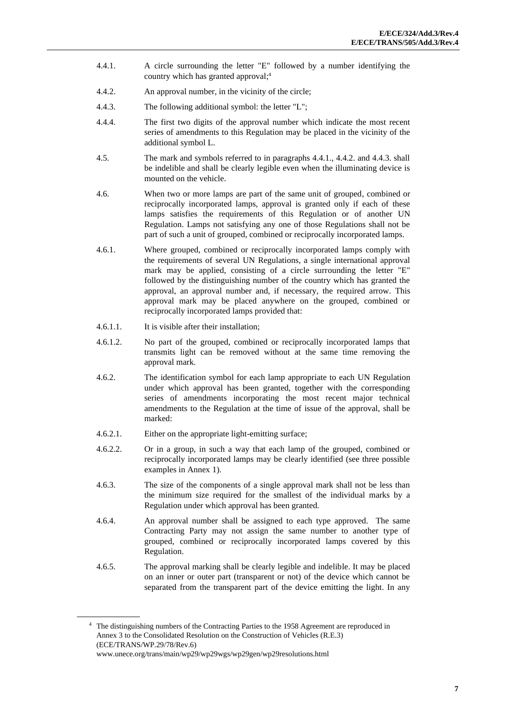- 4.4.1. A circle surrounding the letter "E" followed by a number identifying the country which has granted approval; 4
- 4.4.2. An approval number, in the vicinity of the circle;
- 4.4.3. The following additional symbol: the letter "L";
- 4.4.4. The first two digits of the approval number which indicate the most recent series of amendments to this Regulation may be placed in the vicinity of the additional symbol L.
- 4.5. The mark and symbols referred to in paragraphs 4.4.1., 4.4.2. and 4.4.3. shall be indelible and shall be clearly legible even when the illuminating device is mounted on the vehicle.
- 4.6. When two or more lamps are part of the same unit of grouped, combined or reciprocally incorporated lamps, approval is granted only if each of these lamps satisfies the requirements of this Regulation or of another UN Regulation. Lamps not satisfying any one of those Regulations shall not be part of such a unit of grouped, combined or reciprocally incorporated lamps.
- 4.6.1. Where grouped, combined or reciprocally incorporated lamps comply with the requirements of several UN Regulations, a single international approval mark may be applied, consisting of a circle surrounding the letter "E" followed by the distinguishing number of the country which has granted the approval, an approval number and, if necessary, the required arrow. This approval mark may be placed anywhere on the grouped, combined or reciprocally incorporated lamps provided that:
- 4.6.1.1. It is visible after their installation;
- 4.6.1.2. No part of the grouped, combined or reciprocally incorporated lamps that transmits light can be removed without at the same time removing the approval mark.
- 4.6.2. The identification symbol for each lamp appropriate to each UN Regulation under which approval has been granted, together with the corresponding series of amendments incorporating the most recent major technical amendments to the Regulation at the time of issue of the approval, shall be marked:
- 4.6.2.1. Either on the appropriate light-emitting surface;
- 4.6.2.2. Or in a group, in such a way that each lamp of the grouped, combined or reciprocally incorporated lamps may be clearly identified (see three possible examples in Annex 1).
- 4.6.3. The size of the components of a single approval mark shall not be less than the minimum size required for the smallest of the individual marks by a Regulation under which approval has been granted.
- 4.6.4. An approval number shall be assigned to each type approved. The same Contracting Party may not assign the same number to another type of grouped, combined or reciprocally incorporated lamps covered by this Regulation.
- 4.6.5. The approval marking shall be clearly legible and indelible. It may be placed on an inner or outer part (transparent or not) of the device which cannot be separated from the transparent part of the device emitting the light. In any

<sup>4</sup> The distinguishing numbers of the Contracting Parties to the 1958 Agreement are reproduced in Annex 3 to the Consolidated Resolution on the Construction of Vehicles (R.E.3) (ECE/TRANS/WP.29/78/Rev.6) [www.unece.org/trans/main/wp29/wp29wgs/wp29gen/wp29resolutions.html](http://www.unece.org/trans/main/wp29/wp29wgs/wp29gen/wp29resolutions.html)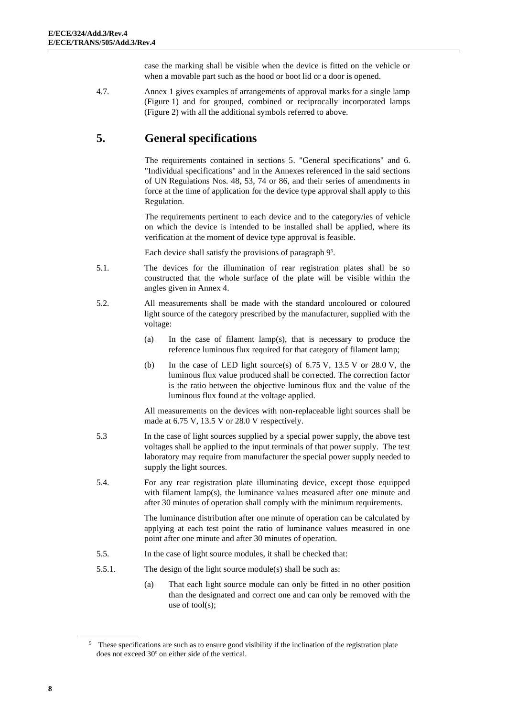case the marking shall be visible when the device is fitted on the vehicle or when a movable part such as the hood or boot lid or a door is opened.

4.7. Annex 1 gives examples of arrangements of approval marks for a single lamp (Figure 1) and for grouped, combined or reciprocally incorporated lamps (Figure 2) with all the additional symbols referred to above.

# <span id="page-7-0"></span>**5. General specifications**

The requirements contained in sections 5. "General specifications" and 6. "Individual specifications" and in the Annexes referenced in the said sections of UN Regulations Nos. 48, 53, 74 or 86, and their series of amendments in force at the time of application for the device type approval shall apply to this Regulation.

The requirements pertinent to each device and to the category/ies of vehicle on which the device is intended to be installed shall be applied, where its verification at the moment of device type approval is feasible.

Each device shall satisfy the provisions of paragraph 9<sup>5</sup> .

- 5.1. The devices for the illumination of rear registration plates shall be so constructed that the whole surface of the plate will be visible within the angles given in Annex 4.
- 5.2. All measurements shall be made with the standard uncoloured or coloured light source of the category prescribed by the manufacturer, supplied with the voltage:
	- (a) In the case of filament lamp(s), that is necessary to produce the reference luminous flux required for that category of filament lamp;
	- (b) In the case of LED light source(s) of  $6.75$  V,  $13.5$  V or  $28.0$  V, the luminous flux value produced shall be corrected. The correction factor is the ratio between the objective luminous flux and the value of the luminous flux found at the voltage applied.

All measurements on the devices with non-replaceable light sources shall be made at 6.75 V, 13.5 V or 28.0 V respectively.

- 5.3 In the case of light sources supplied by a special power supply, the above test voltages shall be applied to the input terminals of that power supply. The test laboratory may require from manufacturer the special power supply needed to supply the light sources.
- 5.4. For any rear registration plate illuminating device, except those equipped with filament lamp(s), the luminance values measured after one minute and after 30 minutes of operation shall comply with the minimum requirements.

The luminance distribution after one minute of operation can be calculated by applying at each test point the ratio of luminance values measured in one point after one minute and after 30 minutes of operation.

- 5.5. In the case of light source modules, it shall be checked that:
- 5.5.1. The design of the light source module(s) shall be such as:
	- (a) That each light source module can only be fitted in no other position than the designated and correct one and can only be removed with the use of tool(s);

<sup>&</sup>lt;sup>5</sup> These specifications are such as to ensure good visibility if the inclination of the registration plate does not exceed 30º on either side of the vertical.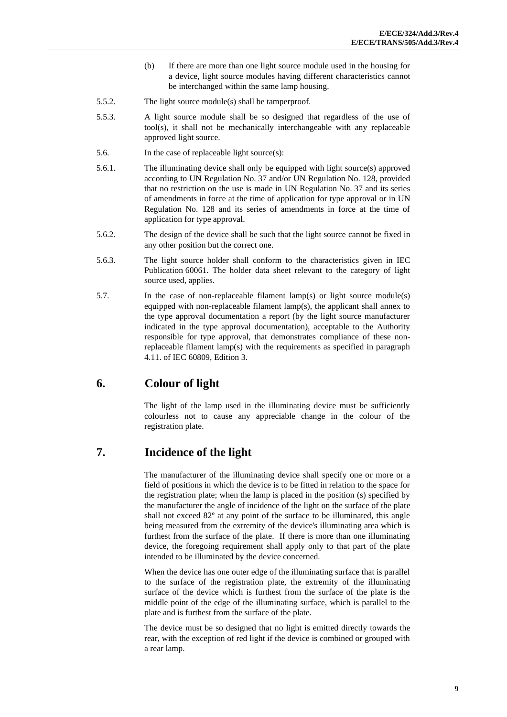- (b) If there are more than one light source module used in the housing for a device, light source modules having different characteristics cannot be interchanged within the same lamp housing.
- 5.5.2. The light source module(s) shall be tamperproof.
- 5.5.3. A light source module shall be so designed that regardless of the use of tool(s), it shall not be mechanically interchangeable with any replaceable approved light source.
- 5.6. In the case of replaceable light source(s):
- 5.6.1. The illuminating device shall only be equipped with light source(s) approved according to UN Regulation No. 37 and/or UN Regulation No. 128, provided that no restriction on the use is made in UN Regulation No. 37 and its series of amendments in force at the time of application for type approval or in UN Regulation No. 128 and its series of amendments in force at the time of application for type approval.
- 5.6.2. The design of the device shall be such that the light source cannot be fixed in any other position but the correct one.
- 5.6.3. The light source holder shall conform to the characteristics given in IEC Publication 60061. The holder data sheet relevant to the category of light source used, applies.
- 5.7. In the case of non-replaceable filament lamp(s) or light source module(s) equipped with non-replaceable filament lamp(s), the applicant shall annex to the type approval documentation a report (by the light source manufacturer indicated in the type approval documentation), acceptable to the Authority responsible for type approval, that demonstrates compliance of these nonreplaceable filament lamp(s) with the requirements as specified in paragraph 4.11. of IEC 60809, Edition 3.

## <span id="page-8-0"></span>**6. Colour of light**

The light of the lamp used in the illuminating device must be sufficiently colourless not to cause any appreciable change in the colour of the registration plate.

## <span id="page-8-1"></span>**7. Incidence of the light**

The manufacturer of the illuminating device shall specify one or more or a field of positions in which the device is to be fitted in relation to the space for the registration plate; when the lamp is placed in the position (s) specified by the manufacturer the angle of incidence of the light on the surface of the plate shall not exceed 82º at any point of the surface to be illuminated, this angle being measured from the extremity of the device's illuminating area which is furthest from the surface of the plate. If there is more than one illuminating device, the foregoing requirement shall apply only to that part of the plate intended to be illuminated by the device concerned.

When the device has one outer edge of the illuminating surface that is parallel to the surface of the registration plate, the extremity of the illuminating surface of the device which is furthest from the surface of the plate is the middle point of the edge of the illuminating surface, which is parallel to the plate and is furthest from the surface of the plate.

The device must be so designed that no light is emitted directly towards the rear, with the exception of red light if the device is combined or grouped with a rear lamp.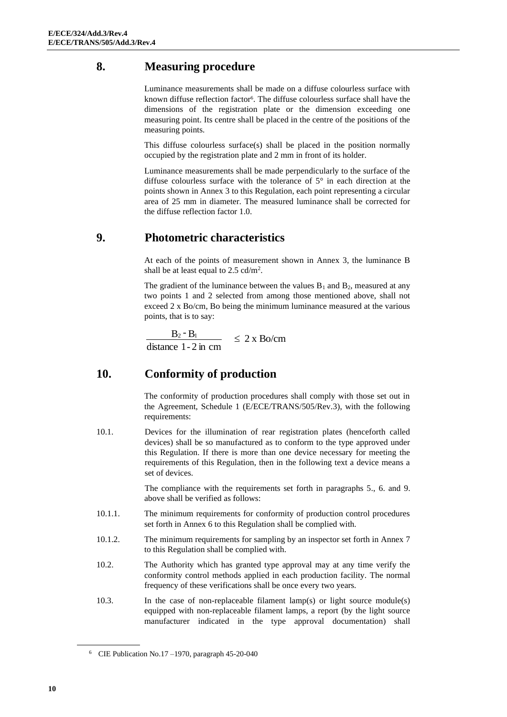# <span id="page-9-0"></span>**8. Measuring procedure**

Luminance measurements shall be made on a diffuse colourless surface with known diffuse reflection factor<sup>6</sup>. The diffuse colourless surface shall have the dimensions of the registration plate or the dimension exceeding one measuring point. Its centre shall be placed in the centre of the positions of the measuring points.

This diffuse colourless surface(s) shall be placed in the position normally occupied by the registration plate and 2 mm in front of its holder.

Luminance measurements shall be made perpendicularly to the surface of the diffuse colourless surface with the tolerance of 5° in each direction at the points shown in Annex 3 to this Regulation, each point representing a circular area of 25 mm in diameter. The measured luminance shall be corrected for the diffuse reflection factor 1.0.

# <span id="page-9-1"></span>**9. Photometric characteristics**

At each of the points of measurement shown in Annex 3, the luminance B shall be at least equal to 2.5 cd/m<sup>2</sup>.

The gradient of the luminance between the values  $B_1$  and  $B_2$ , measured at any two points 1 and 2 selected from among those mentioned above, shall not exceed 2 x Bo/cm, Bo being the minimum luminance measured at the various points, that is to say:

 $\leq 2 \times \text{Bo/cm}$ distance 1- 2 in cm  $B_2 - B_1$ 

# <span id="page-9-2"></span>**10. Conformity of production**

The conformity of production procedures shall comply with those set out in the Agreement, Schedule 1 (E/ECE/TRANS/505/Rev.3), with the following requirements:

10.1. Devices for the illumination of rear registration plates (henceforth called devices) shall be so manufactured as to conform to the type approved under this Regulation. If there is more than one device necessary for meeting the requirements of this Regulation, then in the following text a device means a set of devices.

> The compliance with the requirements set forth in paragraphs 5., 6. and 9. above shall be verified as follows:

- 10.1.1. The minimum requirements for conformity of production control procedures set forth in Annex 6 to this Regulation shall be complied with.
- 10.1.2. The minimum requirements for sampling by an inspector set forth in Annex 7 to this Regulation shall be complied with.
- 10.2. The Authority which has granted type approval may at any time verify the conformity control methods applied in each production facility. The normal frequency of these verifications shall be once every two years.
- 10.3. In the case of non-replaceable filament lamp(s) or light source module(s) equipped with non-replaceable filament lamps, a report (by the light source manufacturer indicated in the type approval documentation) shall

 $6$  CIE Publication No.17 –1970, paragraph 45-20-040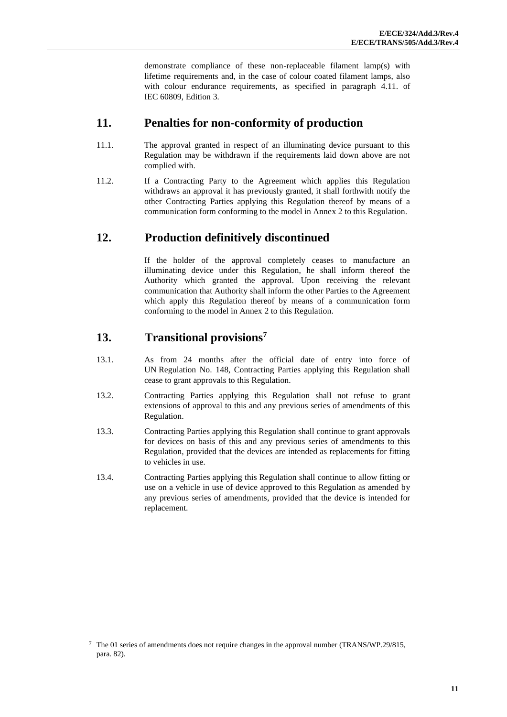demonstrate compliance of these non-replaceable filament lamp(s) with lifetime requirements and, in the case of colour coated filament lamps, also with colour endurance requirements, as specified in paragraph 4.11. of IEC 60809, Edition 3*.*

## <span id="page-10-0"></span>**11. Penalties for non-conformity of production**

- 11.1. The approval granted in respect of an illuminating device pursuant to this Regulation may be withdrawn if the requirements laid down above are not complied with.
- 11.2. If a Contracting Party to the Agreement which applies this Regulation withdraws an approval it has previously granted, it shall forthwith notify the other Contracting Parties applying this Regulation thereof by means of a communication form conforming to the model in Annex 2 to this Regulation.

# <span id="page-10-1"></span>**12. Production definitively discontinued**

If the holder of the approval completely ceases to manufacture an illuminating device under this Regulation, he shall inform thereof the Authority which granted the approval. Upon receiving the relevant communication that Authority shall inform the other Parties to the Agreement which apply this Regulation thereof by means of a communication form conforming to the model in Annex 2 to this Regulation.

# <span id="page-10-2"></span>**13. Transitional provisions<sup>7</sup>**

- 13.1. As from 24 months after the official date of entry into force of UN Regulation No. 148, Contracting Parties applying this Regulation shall cease to grant approvals to this Regulation.
- 13.2. Contracting Parties applying this Regulation shall not refuse to grant extensions of approval to this and any previous series of amendments of this Regulation.
- 13.3. Contracting Parties applying this Regulation shall continue to grant approvals for devices on basis of this and any previous series of amendments to this Regulation, provided that the devices are intended as replacements for fitting to vehicles in use.
- 13.4. Contracting Parties applying this Regulation shall continue to allow fitting or use on a vehicle in use of device approved to this Regulation as amended by any previous series of amendments, provided that the device is intended for replacement.

<sup>7</sup> The 01 series of amendments does not require changes in the approval number (TRANS/WP.29/815, para. 82).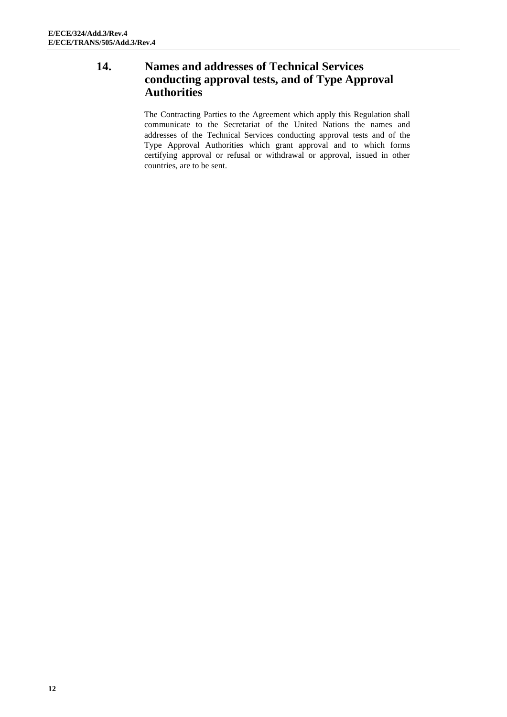## <span id="page-11-0"></span>**14. Names and addresses of Technical Services conducting approval tests, and of Type Approval Authorities**

The Contracting Parties to the Agreement which apply this Regulation shall communicate to the Secretariat of the United Nations the names and addresses of the Technical Services conducting approval tests and of the Type Approval Authorities which grant approval and to which forms certifying approval or refusal or withdrawal or approval, issued in other countries, are to be sent.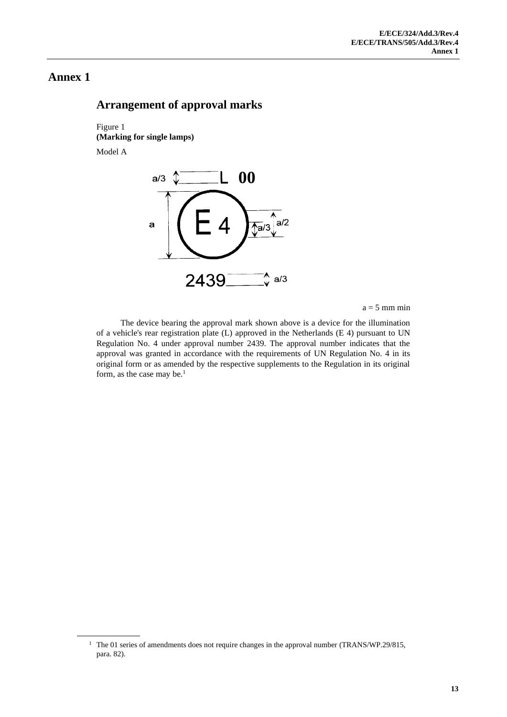## <span id="page-12-1"></span><span id="page-12-0"></span>**Arrangement of approval marks**

Figure 1 **(Marking for single lamps)** Model A



 $a = 5$  mm min

The device bearing the approval mark shown above is a device for the illumination of a vehicle's rear registration plate (L) approved in the Netherlands (E 4) pursuant to UN Regulation No. 4 under approval number 2439. The approval number indicates that the approval was granted in accordance with the requirements of UN Regulation No. 4 in its original form or as amended by the respective supplements to the Regulation in its original form, as the case may be.<sup>1</sup>

<sup>&</sup>lt;sup>1</sup> The 01 series of amendments does not require changes in the approval number (TRANS/WP.29/815, para. 82).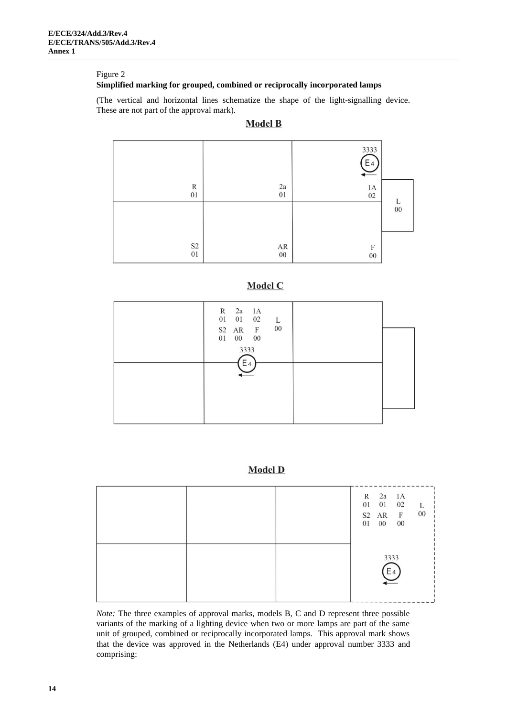#### Figure 2

#### **Simplified marking for grouped, combined or reciprocally incorporated lamps**

(The vertical and horizontal lines schematize the shape of the light-signalling device. These are not part of the approval mark).

#### **Model B**



### Model C

| $\begin{array}{ccc} \text{R} & \text{2a} & \text{1A} \\ \text{01} & \text{01} & \text{02} \end{array}$<br>L<br>$00\,$<br>S2 AR F<br>01<br>$00\quad \  \, 00$<br>3333 |  |
|----------------------------------------------------------------------------------------------------------------------------------------------------------------------|--|
| E <sub>4</sub>                                                                                                                                                       |  |

#### **Model D**

|  |  | R 2a 1A<br>01 01 02<br>S2 AR F<br>01 00 | $00\,$ | L<br>$0 \\ 0$ |
|--|--|-----------------------------------------|--------|---------------|
|  |  | 3333<br>$E_4$                           |        |               |

*Note:* The three examples of approval marks, models B, C and D represent three possible variants of the marking of a lighting device when two or more lamps are part of the same unit of grouped, combined or reciprocally incorporated lamps. This approval mark shows that the device was approved in the Netherlands (E4) under approval number 3333 and comprising: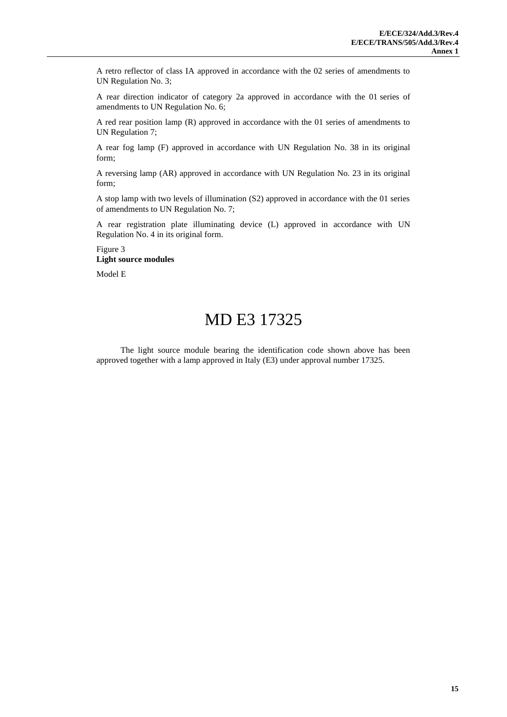A retro reflector of class IA approved in accordance with the 02 series of amendments to UN Regulation No. 3;

A rear direction indicator of category 2a approved in accordance with the 01 series of amendments to UN Regulation No. 6;

A red rear position lamp (R) approved in accordance with the 01 series of amendments to UN Regulation 7;

A rear fog lamp (F) approved in accordance with UN Regulation No. 38 in its original form;

A reversing lamp (AR) approved in accordance with UN Regulation No. 23 in its original form;

A stop lamp with two levels of illumination (S2) approved in accordance with the 01 series of amendments to UN Regulation No. 7;

A rear registration plate illuminating device (L) approved in accordance with UN Regulation No. 4 in its original form.

#### Figure 3 **Light source modules**

Model E

# MD E3 17325

The light source module bearing the identification code shown above has been approved together with a lamp approved in Italy (E3) under approval number 17325.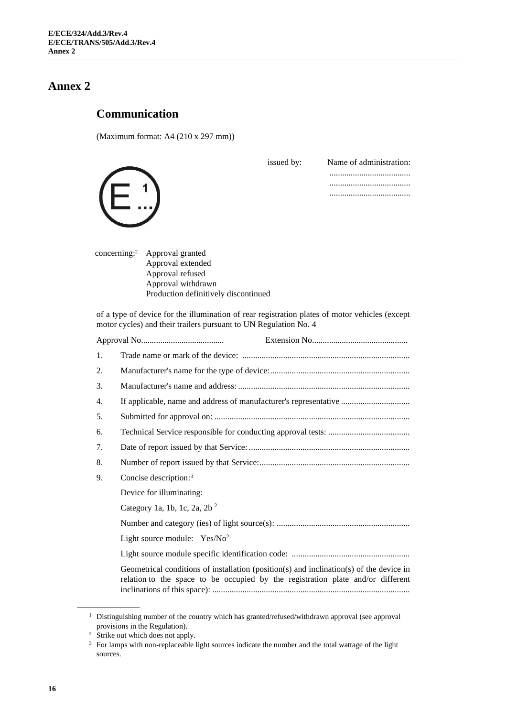## <span id="page-15-0"></span>**Communication**

(Maximum format: A4 (210 x 297 mm))

| issued by: | Name of administration: |
|------------|-------------------------|
|            |                         |
|            |                         |
|            |                         |
|            |                         |
|            |                         |
|            |                         |
|            |                         |

| concerning: <sup>2</sup> Approval granted |
|-------------------------------------------|
| Approval extended                         |
| Approval refused                          |
| Approval withdrawn                        |
| Production definitively discontinued      |
|                                           |

of a type of device for the illumination of rear registration plates of motor vehicles (except motor cycles) and their trailers pursuant to UN Regulation No. 4

| 1. |                                                                                                                                                                            |
|----|----------------------------------------------------------------------------------------------------------------------------------------------------------------------------|
| 2. |                                                                                                                                                                            |
| 3. |                                                                                                                                                                            |
| 4. | If applicable, name and address of manufacturer's representative                                                                                                           |
| 5. |                                                                                                                                                                            |
| 6. |                                                                                                                                                                            |
| 7. |                                                                                                                                                                            |
| 8. |                                                                                                                                                                            |
| 9. | Concise description: <sup>3</sup>                                                                                                                                          |
|    | Device for illuminating:                                                                                                                                                   |
|    | Category 1a, 1b, 1c, 2a, 2b $^2$                                                                                                                                           |
|    |                                                                                                                                                                            |
|    | Light source module: $Yes/No2$                                                                                                                                             |
|    |                                                                                                                                                                            |
|    | Geometrical conditions of installation (position(s) and inclination(s) of the device in<br>relation to the space to be occupied by the registration plate and/or different |

<sup>&</sup>lt;sup>1</sup> Distinguishing number of the country which has granted/refused/withdrawn approval (see approval provisions in the Regulation).

<sup>&</sup>lt;sup>2</sup> Strike out which does not apply.

<sup>&</sup>lt;sup>3</sup> For lamps with non-replaceable light sources indicate the number and the total wattage of the light sources.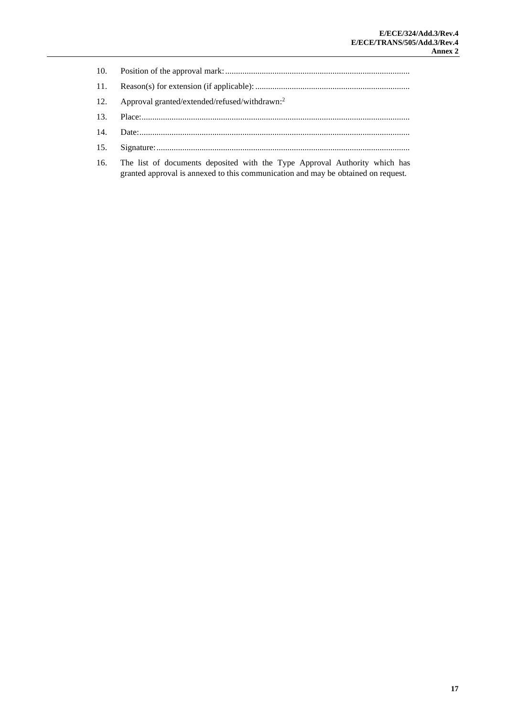| 12. Approval granted/extended/refused/withdrawn: <sup>2</sup> |
|---------------------------------------------------------------|
|                                                               |
|                                                               |
|                                                               |
|                                                               |

16. The list of documents deposited with the Type Approval Authority which has granted approval is annexed to this communication and may be obtained on request.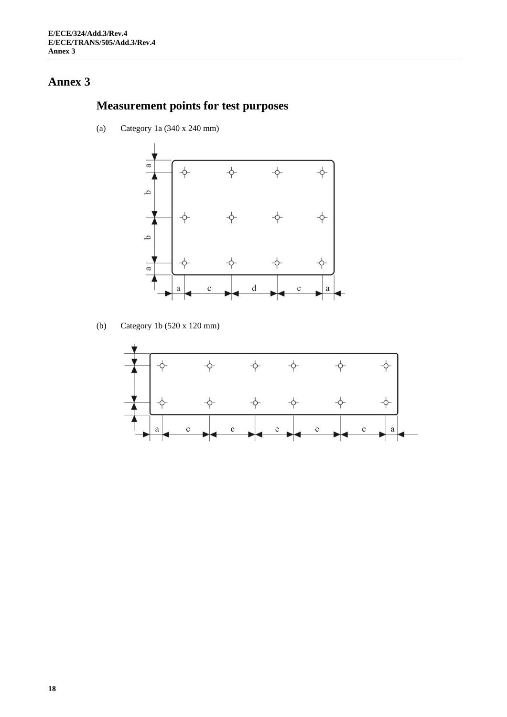# **Measurement points for test purposes**

(a) Category 1a (340 x 240 mm)



(b) Category 1b (520 x 120 mm)

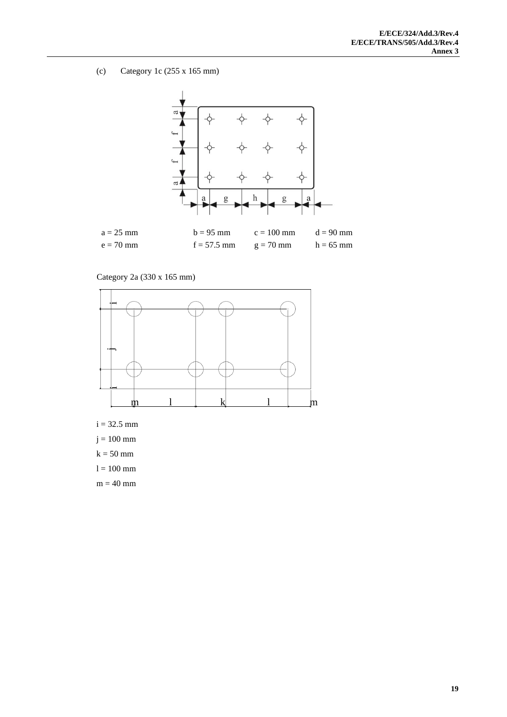(c) Category 1c (255 x 165 mm)



## Category 2a (330 x 165 mm)



- $i = 32.5$  mm
- $j = 100$  mm
- $k = 50$  mm
- $l = 100$  mm
- $m = 40$  mm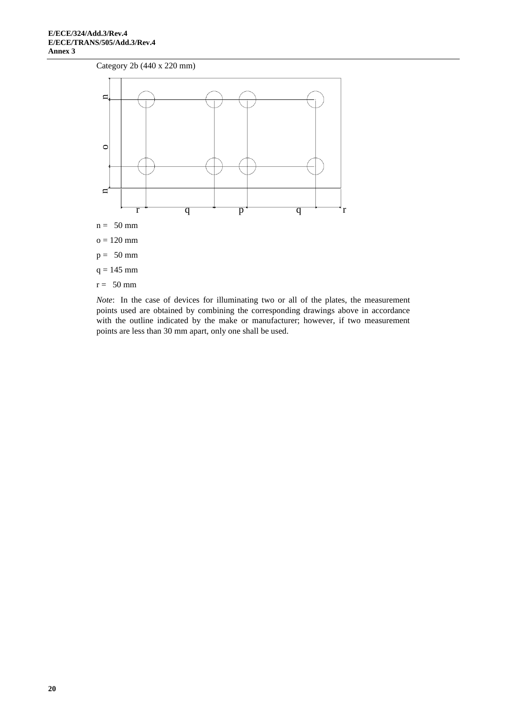



*Note*: In the case of devices for illuminating two or all of the plates, the measurement points used are obtained by combining the corresponding drawings above in accordance with the outline indicated by the make or manufacturer; however, if two measurement points are less than 30 mm apart, only one shall be used.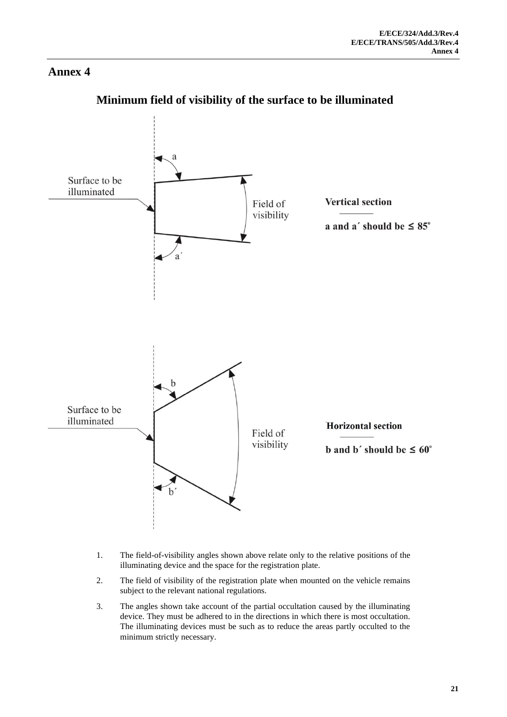

# <span id="page-20-0"></span>**Minimum field of visibility of the surface to be illuminated**

- 1. The field-of-visibility angles shown above relate only to the relative positions of the illuminating device and the space for the registration plate.
- 2. The field of visibility of the registration plate when mounted on the vehicle remains subject to the relevant national regulations.
- 3. The angles shown take account of the partial occultation caused by the illuminating device. They must be adhered to in the directions in which there is most occultation. The illuminating devices must be such as to reduce the areas partly occulted to the minimum strictly necessary.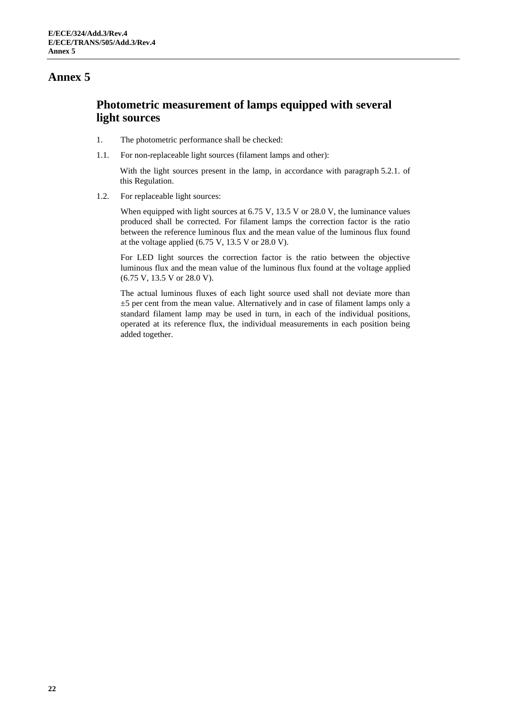# <span id="page-21-0"></span>**Photometric measurement of lamps equipped with several light sources**

- 1. The photometric performance shall be checked:
- 1.1. For non-replaceable light sources (filament lamps and other):

With the light sources present in the lamp, in accordance with paragraph 5.2.1. of this Regulation.

1.2. For replaceable light sources:

When equipped with light sources at 6.75 V, 13.5 V or 28.0 V, the luminance values produced shall be corrected. For filament lamps the correction factor is the ratio between the reference luminous flux and the mean value of the luminous flux found at the voltage applied  $(6.75 \text{ V}, 13.5 \text{ V} \text{ or } 28.0 \text{ V})$ .

For LED light sources the correction factor is the ratio between the objective luminous flux and the mean value of the luminous flux found at the voltage applied (6.75 V, 13.5 V or 28.0 V).

The actual luminous fluxes of each light source used shall not deviate more than  $\pm$ 5 per cent from the mean value. Alternatively and in case of filament lamps only a standard filament lamp may be used in turn, in each of the individual positions, operated at its reference flux, the individual measurements in each position being added together.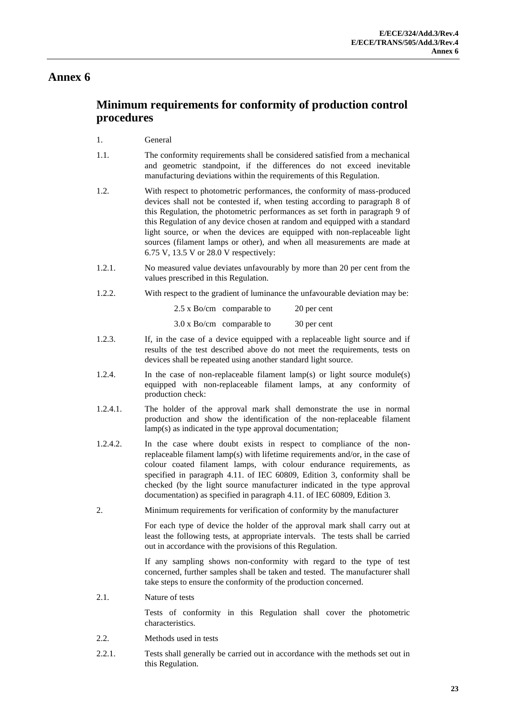# <span id="page-22-0"></span>**Minimum requirements for conformity of production control procedures**

#### 1. General

- 1.1. The conformity requirements shall be considered satisfied from a mechanical and geometric standpoint, if the differences do not exceed inevitable manufacturing deviations within the requirements of this Regulation.
- 1.2. With respect to photometric performances, the conformity of mass-produced devices shall not be contested if, when testing according to paragraph 8 of this Regulation, the photometric performances as set forth in paragraph 9 of this Regulation of any device chosen at random and equipped with a standard light source, or when the devices are equipped with non-replaceable light sources (filament lamps or other), and when all measurements are made at 6.75 V, 13.5 V or 28.0 V respectively:
- 1.2.1. No measured value deviates unfavourably by more than 20 per cent from the values prescribed in this Regulation.
- 1.2.2. With respect to the gradient of luminance the unfavourable deviation may be:

| $2.5 \times$ Bo/cm comparable to | 20 per cent |
|----------------------------------|-------------|
| $3.0 \times$ Bo/cm comparable to | 30 per cent |

- 1.2.3. If, in the case of a device equipped with a replaceable light source and if results of the test described above do not meet the requirements, tests on devices shall be repeated using another standard light source.
- 1.2.4. In the case of non-replaceable filament lamp(s) or light source module(s) equipped with non-replaceable filament lamps, at any conformity of production check:
- 1.2.4.1. The holder of the approval mark shall demonstrate the use in normal production and show the identification of the non-replaceable filament lamp(s) as indicated in the type approval documentation;
- 1.2.4.2. In the case where doubt exists in respect to compliance of the nonreplaceable filament lamp(s) with lifetime requirements and/or, in the case of colour coated filament lamps, with colour endurance requirements, as specified in paragraph 4.11. of IEC 60809, Edition 3, conformity shall be checked (by the light source manufacturer indicated in the type approval documentation) as specified in paragraph 4.11. of IEC 60809, Edition 3.
- 2. Minimum requirements for verification of conformity by the manufacturer

For each type of device the holder of the approval mark shall carry out at least the following tests, at appropriate intervals. The tests shall be carried out in accordance with the provisions of this Regulation.

If any sampling shows non-conformity with regard to the type of test concerned, further samples shall be taken and tested. The manufacturer shall take steps to ensure the conformity of the production concerned.

2.1. Nature of tests

Tests of conformity in this Regulation shall cover the photometric characteristics.

- 2.2. Methods used in tests
- 2.2.1. Tests shall generally be carried out in accordance with the methods set out in this Regulation.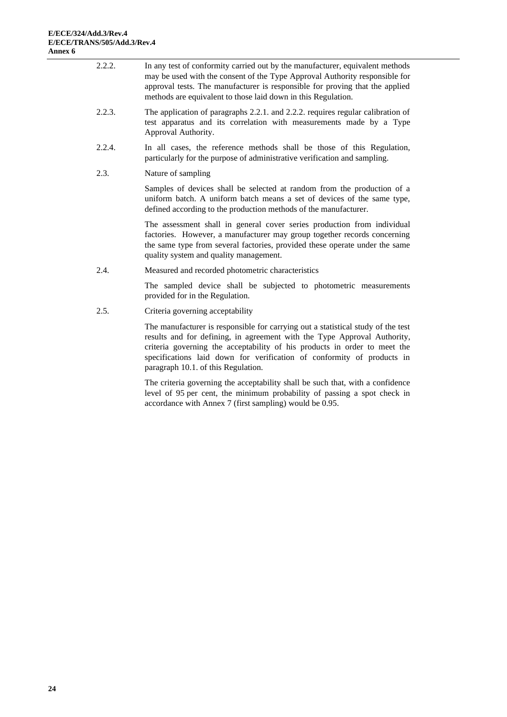| 2.2.2. | In any test of conformity carried out by the manufacturer, equivalent methods<br>may be used with the consent of the Type Approval Authority responsible for<br>approval tests. The manufacturer is responsible for proving that the applied<br>methods are equivalent to those laid down in this Regulation. |
|--------|---------------------------------------------------------------------------------------------------------------------------------------------------------------------------------------------------------------------------------------------------------------------------------------------------------------|
| 2.2.3. | The application of paragraphs 2.2.1. and 2.2.2. requires regular calibration of<br>test apparatus and its correlation with measurements made by a Type<br>Approval Authority.                                                                                                                                 |
| 2.2.4. | In all cases, the reference methods shall be those of this Regulation,<br>particularly for the purpose of administrative verification and sampling.                                                                                                                                                           |
| 2.3.   | Nature of sampling                                                                                                                                                                                                                                                                                            |
|        | Samples of devices shall be selected at random from the production of a<br>uniform batch. A uniform batch means a set of devices of the same type,<br>defined according to the production methods of the manufacturer.                                                                                        |
|        | The assessment shall in general cover series production from individual<br>factories. However, a manufacturer may group together records concerning<br>the same type from several factories, provided these operate under the same<br>quality system and quality management.                                  |
| 2.4.   | Measured and recorded photometric characteristics                                                                                                                                                                                                                                                             |
|        | The sampled device shall be subjected to photometric measurements<br>provided for in the Regulation.                                                                                                                                                                                                          |
| 2.5.   | Criteria governing acceptability                                                                                                                                                                                                                                                                              |
|        | The manufacturer is responsible for carrying out a statistical study of the test<br>results and for defining, in agreement with the Type Approval Authority,                                                                                                                                                  |

criteria governing the acceptability of his products in order to meet the specifications laid down for verification of conformity of products in paragraph 10.1. of this Regulation.

The criteria governing the acceptability shall be such that, with a confidence level of 95 per cent, the minimum probability of passing a spot check in accordance with Annex 7 (first sampling) would be 0.95.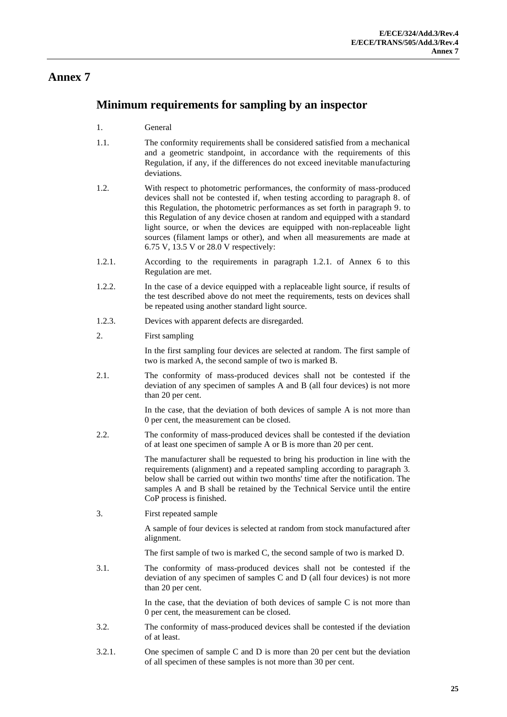## <span id="page-24-0"></span>**Minimum requirements for sampling by an inspector**

- 1. General
- 1.1. The conformity requirements shall be considered satisfied from a mechanical and a geometric standpoint, in accordance with the requirements of this Regulation, if any, if the differences do not exceed inevitable manufacturing deviations.
- 1.2. With respect to photometric performances, the conformity of mass-produced devices shall not be contested if, when testing according to paragraph 8. of this Regulation, the photometric performances as set forth in paragraph 9. to this Regulation of any device chosen at random and equipped with a standard light source, or when the devices are equipped with non-replaceable light sources (filament lamps or other), and when all measurements are made at 6.75 V, 13.5 V or 28.0 V respectively:
- 1.2.1. According to the requirements in paragraph 1.2.1. of Annex 6 to this Regulation are met.
- 1.2.2. In the case of a device equipped with a replaceable light source, if results of the test described above do not meet the requirements, tests on devices shall be repeated using another standard light source.
- 1.2.3. Devices with apparent defects are disregarded.
- 2. First sampling

In the first sampling four devices are selected at random. The first sample of two is marked A, the second sample of two is marked B.

2.1. The conformity of mass-produced devices shall not be contested if the deviation of any specimen of samples A and B (all four devices) is not more than 20 per cent.

> In the case, that the deviation of both devices of sample A is not more than 0 per cent, the measurement can be closed.

2.2. The conformity of mass-produced devices shall be contested if the deviation of at least one specimen of sample A or B is more than 20 per cent.

> The manufacturer shall be requested to bring his production in line with the requirements (alignment) and a repeated sampling according to paragraph 3. below shall be carried out within two months' time after the notification. The samples A and B shall be retained by the Technical Service until the entire CoP process is finished.

3. First repeated sample

A sample of four devices is selected at random from stock manufactured after alignment.

The first sample of two is marked C, the second sample of two is marked D.

3.1. The conformity of mass-produced devices shall not be contested if the deviation of any specimen of samples C and D (all four devices) is not more than 20 per cent.

> In the case, that the deviation of both devices of sample  $C$  is not more than 0 per cent, the measurement can be closed.

- 3.2. The conformity of mass-produced devices shall be contested if the deviation of at least.
- 3.2.1. One specimen of sample C and D is more than 20 per cent but the deviation of all specimen of these samples is not more than 30 per cent.